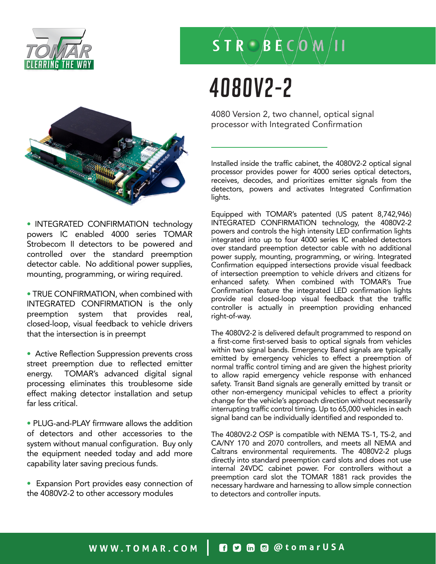



• INTEGRATED CONFIRMATION technology powers IC enabled 4000 series TOMAR Strobecom II detectors to be powered and controlled over the standard preemption detector cable. No additional power supplies, mounting, programming, or wiring required.

• TRUE CONFIRMATION, when combined with INTEGRATED CONFIRMATION is the only preemption system that provides real, closed-loop, visual feedback to vehicle drivers that the intersection is in preempt

• Active Reflection Suppression prevents cross street preemption due to reflected emitter energy. TOMAR's advanced digital signal processing eliminates this troublesome side effect making detector installation and setup far less critical.

• PLUG-and-PLAY firmware allows the addition of detectors and other accessories to the system without manual configuration. Buy only the equipment needed today and add more capability later saving precious funds.

• Expansion Port provides easy connection of the 4080V2-2 to other accessory modules

### $S T R O B E CO W / H$

# 4080V2-2

4080 Version 2, two channel, optical signal processor with Integrated Confirmation

Installed inside the traffic cabinet, the 4080V2-2 optical signal processor provides power for 4000 series optical detectors, receives, decodes, and prioritizes emitter signals from the detectors, powers and activates Integrated Confirmation lights.

Equipped with TOMAR's patented (US patent 8,742,946) INTEGRATED CONFIRMATION technology, the 4080V2-2 powers and controls the high intensity LED confirmation lights integrated into up to four 4000 series IC enabled detectors over standard preemption detector cable with no additional power supply, mounting, programming, or wiring. Integrated Confirmation equipped intersections provide visual feedback of intersection preemption to vehicle drivers and citizens for enhanced safety. When combined with TOMAR's True Confirmation feature the integrated LED confirmation lights provide real closed-loop visual feedback that the traffic controller is actually in preemption providing enhanced right-of-way.

The 4080V2-2 is delivered default programmed to respond on a first-come first-served basis to optical signals from vehicles within two signal bands. Emergency Band signals are typically emitted by emergency vehicles to effect a preemption of normal traffic control timing and are given the highest priority to allow rapid emergency vehicle response with enhanced safety. Transit Band signals are generally emitted by transit or other non-emergency municipal vehicles to effect a priority change for the vehicle's approach direction without necessarily interrupting traffic control timing. Up to 65,000 vehicles in each signal band can be individually identified and responded to.

The 4080V2-2 OSP is compatible with NEMA TS-1, TS-2, and CA/NY 170 and 2070 controllers, and meets all NEMA and Caltrans environmental requirements. The 4080V2-2 plugs directly into standard preemption card slots and does not use internal 24VDC cabinet power. For controllers without a preemption card slot the TOMAR 1881 rack provides the necessary hardware and harnessing to allow simple connection to detectors and controller inputs.